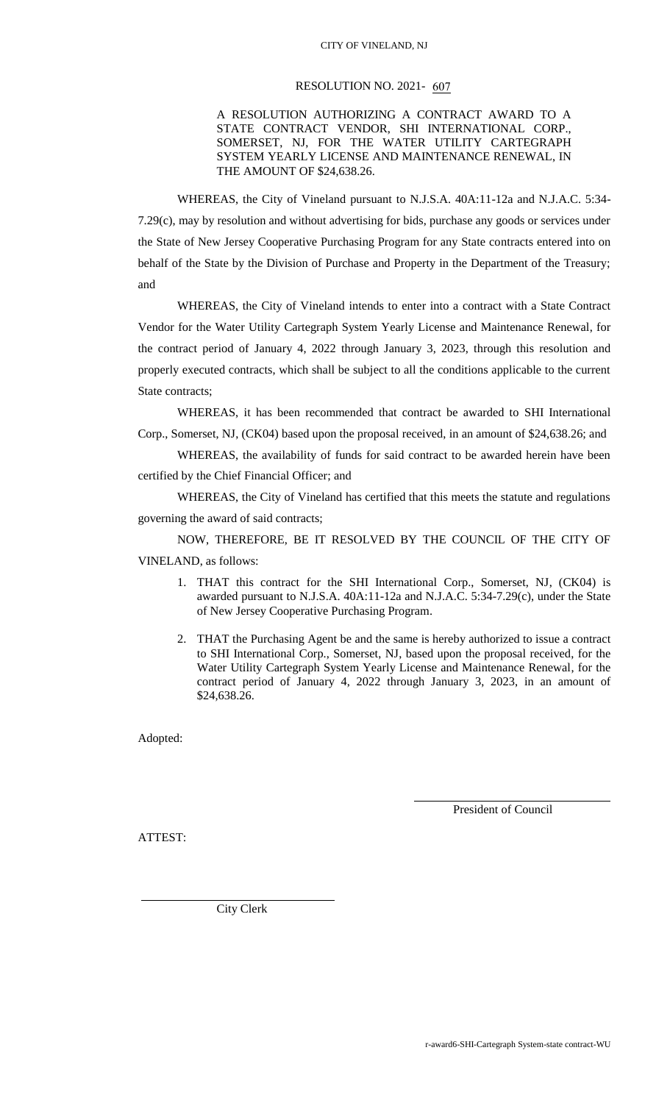## RESOLUTION NO. 2021- 607

A RESOLUTION AUTHORIZING A CONTRACT AWARD TO A STATE CONTRACT VENDOR, SHI INTERNATIONAL CORP., SOMERSET, NJ, FOR THE WATER UTILITY CARTEGRAPH SYSTEM YEARLY LICENSE AND MAINTENANCE RENEWAL, IN THE AMOUNT OF \$24,638.26.

WHEREAS, the City of Vineland pursuant to N.J.S.A. 40A:11-12a and N.J.A.C. 5:34-

7.29(c), may by resolution and without advertising for bids, purchase any goods or services under the State of New Jersey Cooperative Purchasing Program for any State contracts entered into on behalf of the State by the Division of Purchase and Property in the Department of the Treasury; and

WHEREAS, the City of Vineland intends to enter into a contract with a State Contract Vendor for the Water Utility Cartegraph System Yearly License and Maintenance Renewal, for the contract period of January 4, 2022 through January 3, 2023, through this resolution and properly executed contracts, which shall be subject to all the conditions applicable to the current State contracts;

WHEREAS, it has been recommended that contract be awarded to SHI International Corp., Somerset, NJ, (CK04) based upon the proposal received, in an amount of \$24,638.26; and

WHEREAS, the availability of funds for said contract to be awarded herein have been certified by the Chief Financial Officer; and

WHEREAS, the City of Vineland has certified that this meets the statute and regulations governing the award of said contracts;

NOW, THEREFORE, BE IT RESOLVED BY THE COUNCIL OF THE CITY OF VINELAND, as follows:

- 1. THAT this contract for the SHI International Corp., Somerset, NJ, (CK04) is awarded pursuant to N.J.S.A. 40A:11-12a and N.J.A.C. 5:34-7.29(c), under the State of New Jersey Cooperative Purchasing Program.
- 2. THAT the Purchasing Agent be and the same is hereby authorized to issue a contract to SHI International Corp., Somerset, NJ, based upon the proposal received, for the Water Utility Cartegraph System Yearly License and Maintenance Renewal, for the contract period of January 4, 2022 through January 3, 2023, in an amount of \$24,638.26.

Adopted:

President of Council

ATTEST:

City Clerk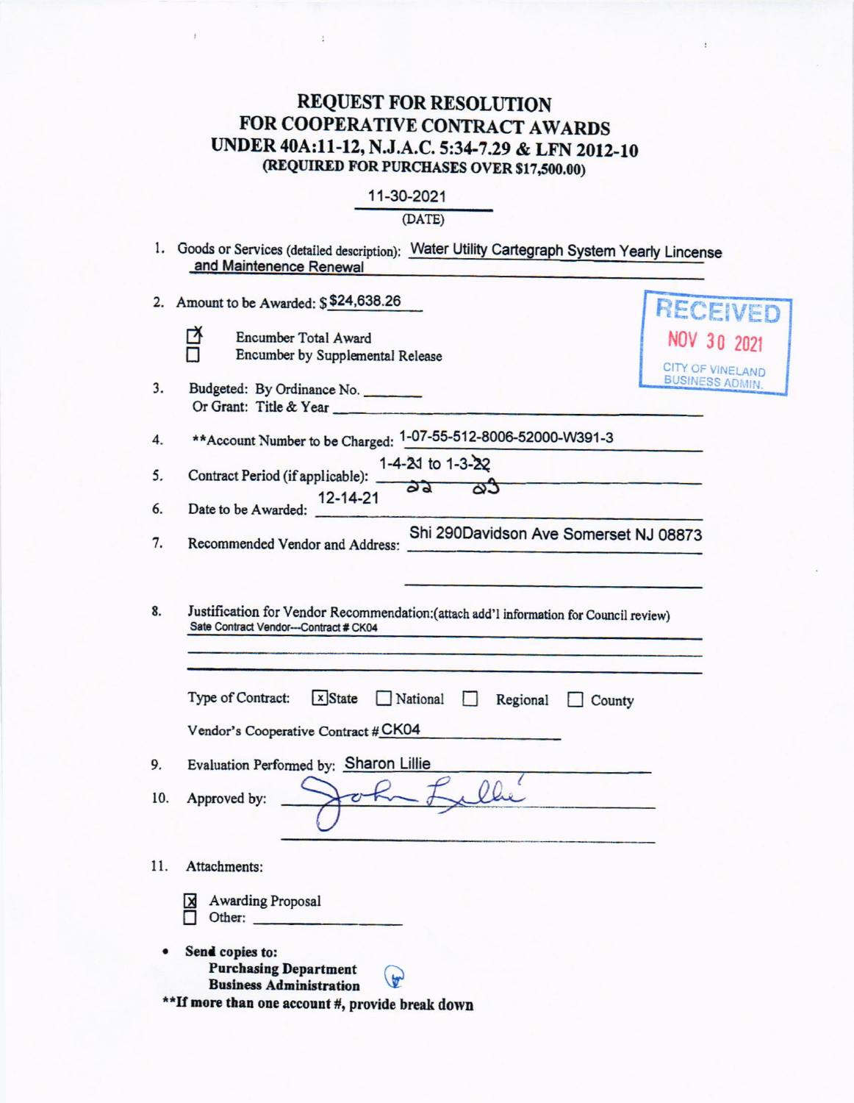## REQUEST FOR RESOLUTION<br>FOR COOPERATIVE CONTRACT AWARDS UNDER 40A:11-12, N.J.A.C. 5:34-7.29 & LFN 2012-10 (REQUIRED FOR PURCHASES OVER \$17,500.00)

|  |  | 11-30-2021 |  |
|--|--|------------|--|
|--|--|------------|--|

## $(DATE)$

|           | 1. Goods or Services (detailed description): Water Utility Cartegraph System Yearly Lincense<br>and Maintenence Renewal                                                                                                       |                                                   |
|-----------|-------------------------------------------------------------------------------------------------------------------------------------------------------------------------------------------------------------------------------|---------------------------------------------------|
|           | 2. Amount to be Awarded: \$\$24,638.26<br>◘<br>Encumber Total Award<br>Encumber by Supplemental Release                                                                                                                       | <b>RECEIVED</b><br>NOV 30 2021                    |
| 3.        | Budgeted: By Ordinance No.<br>Or Grant: Title & Year                                                                                                                                                                          | <b>CITY OF VINELAND</b><br><b>BUSINESS ADMIN.</b> |
| 4.        | ** Account Number to be Charged: 1-07-55-512-8006-52000-W391-3                                                                                                                                                                |                                                   |
| 5.<br>6.  | 1-4-20 to 1-3-22<br>Contract Period (if applicable): _<br>dd<br>దిన<br>12-14-21<br>Date to be Awarded:                                                                                                                        |                                                   |
| 7.        | Shi 290Davidson Ave Somerset NJ 08873<br>Recommended Vendor and Address:                                                                                                                                                      |                                                   |
| 8.        | Justification for Vendor Recommendation:(attach add'l information for Council review)<br>Sate Contract Vendor---Contract # CK04<br>Type of Contract:<br>$x$ State<br>National<br>$\left  \cdot \right $<br>Regional<br>County |                                                   |
|           | Vendor's Cooperative Contract # CK04                                                                                                                                                                                          |                                                   |
| 9.<br>10. | Evaluation Performed by: Sharon Lillie<br>Approved by:                                                                                                                                                                        |                                                   |
| 11.       | Attachments:<br><b>Awarding Proposal</b><br>x<br>Other:                                                                                                                                                                       |                                                   |
|           | Send copies to:<br><b>Purchasing Department</b><br>$\mathbf{v}$<br><b>Business Administration</b><br>**If more than one account #, provide break down                                                                         |                                                   |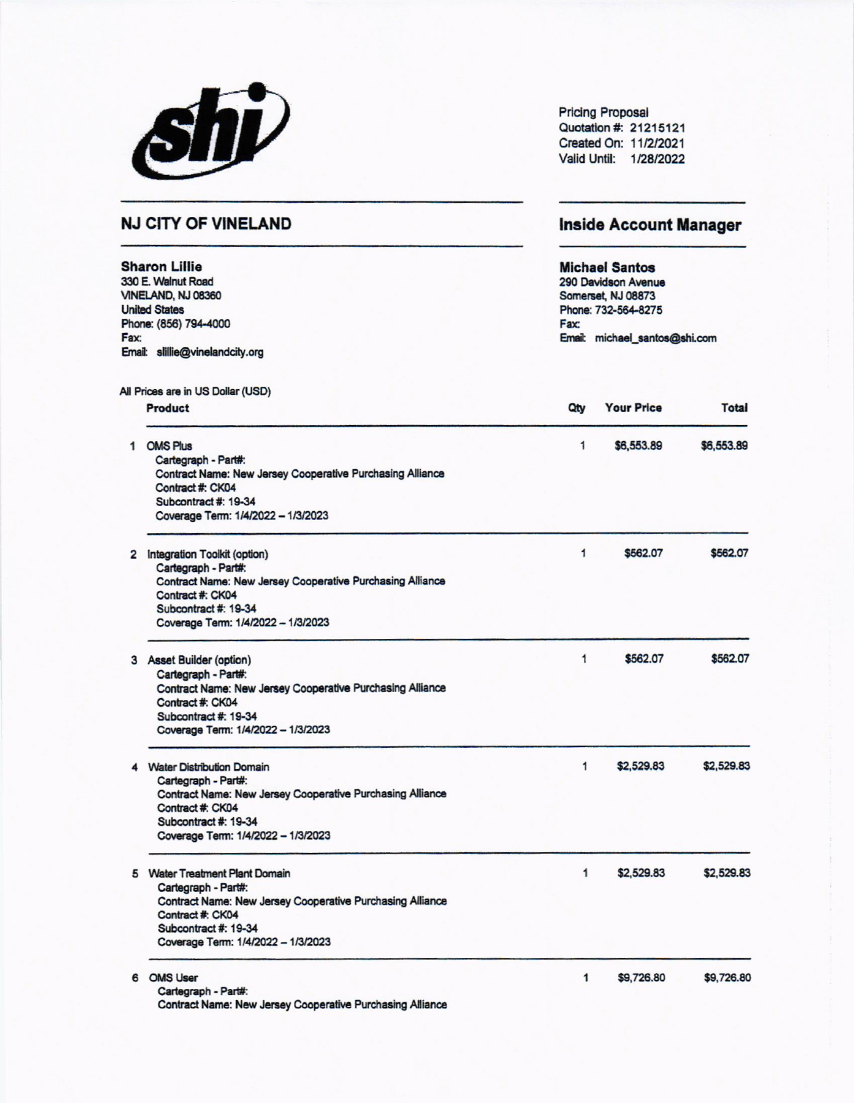|                                                                                                                                                                                            | SNV                                                                                                                                                                                                    |                                                                                                                                                                     | <b>Pricing Proposal</b><br>Quotation #: 21215121<br>Created On: 11/2/2021<br>Valid Until: 1/28/2022 |              |  |
|--------------------------------------------------------------------------------------------------------------------------------------------------------------------------------------------|--------------------------------------------------------------------------------------------------------------------------------------------------------------------------------------------------------|---------------------------------------------------------------------------------------------------------------------------------------------------------------------|-----------------------------------------------------------------------------------------------------|--------------|--|
| <b>NJ CITY OF VINELAND</b><br><b>Sharon Lillie</b><br>330 E. Walnut Road<br>VINELAND, NJ 08360<br><b>United States</b><br>Phone: (856) 794-4000<br>Fax:<br>Email: slillie@vinelandcity.org |                                                                                                                                                                                                        | <b>Inside Account Manager</b><br><b>Michael Santos</b><br>290 Davidson Avenue<br>Somerset, NJ 08873<br>Phone: 732-564-8275<br>Fax:<br>Email: michael_santos@shi.com |                                                                                                     |              |  |
|                                                                                                                                                                                            |                                                                                                                                                                                                        |                                                                                                                                                                     |                                                                                                     |              |  |
|                                                                                                                                                                                            | Product                                                                                                                                                                                                | Qty                                                                                                                                                                 | <b>Your Price</b>                                                                                   | <b>Total</b> |  |
|                                                                                                                                                                                            | 1 OMS Plus<br>Cartegraph - Part#:                                                                                                                                                                      | 1                                                                                                                                                                   | \$6,553.89                                                                                          | \$6,553.89   |  |
|                                                                                                                                                                                            | <b>Contract Name: New Jersey Cooperative Purchasing Alliance</b><br>Contract #: CK04<br>Subcontract #: 19-34<br>Coverage Term: 1/4/2022 - 1/3/2023                                                     |                                                                                                                                                                     |                                                                                                     |              |  |
|                                                                                                                                                                                            | 2 Integration Toolkit (option)<br>Cartegraph - Part#:<br>Contract Name: New Jersey Cooperative Purchasing Alliance<br>Contract #: CK04<br>Subcontract #: 19-34<br>Coverage Term: 1/4/2022 - 1/3/2023   | $\mathbf{1}$                                                                                                                                                        | \$562.07                                                                                            | \$562.07     |  |
|                                                                                                                                                                                            | 3 Asset Builder (option)<br>Cartegraph - Part#:<br>Contract Name: New Jersey Cooperative Purchasing Alliance<br>Contract #: CK04<br>Subcontract #: 19-34<br>Coverage Term: 1/4/2022 - 1/3/2023         | 1                                                                                                                                                                   | \$562.07                                                                                            | \$562.07     |  |
|                                                                                                                                                                                            | <b>Water Distribution Domain</b><br>Cartegraph - Part#:<br>Contract Name: New Jersey Cooperative Purchasing Alliance<br>Contract #: CK04<br>Subcontract #: 19-34<br>Coverage Term: 1/4/2022 - 1/3/2023 | 1                                                                                                                                                                   | \$2,529.83                                                                                          | \$2,529.83   |  |
|                                                                                                                                                                                            | 5 Water Treatment Plant Domain<br>Cartegraph - Part#:<br>Contract Name: New Jersey Cooperative Purchasing Alliance<br>Contract #: CK04<br>Subcontract #: 19-34<br>Coverage Term: 1/4/2022 - 1/3/2023   | 1                                                                                                                                                                   | \$2,529.83                                                                                          | \$2,529.83   |  |
| 6                                                                                                                                                                                          | <b>OMS User</b><br>Cartegraph - Part#:<br>Contract Name: New Jersey Cooperative Purchasing Alliance                                                                                                    | $\mathbf{1}$                                                                                                                                                        | \$9,726.80                                                                                          | \$9,726.80   |  |